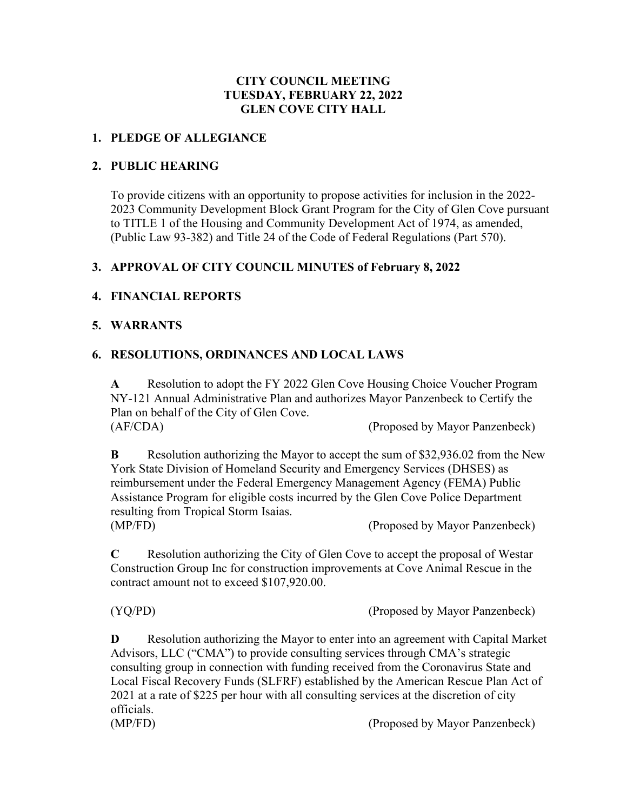## **CITY COUNCIL MEETING TUESDAY, FEBRUARY 22, 2022 GLEN COVE CITY HALL**

#### **1. PLEDGE OF ALLEGIANCE**

#### **2. PUBLIC HEARING**

To provide citizens with an opportunity to propose activities for inclusion in the 2022- 2023 Community Development Block Grant Program for the City of Glen Cove pursuant to TITLE 1 of the Housing and Community Development Act of 1974, as amended, (Public Law 93-382) and Title 24 of the Code of Federal Regulations (Part 570).

### **3. APPROVAL OF CITY COUNCIL MINUTES of February 8, 2022**

### **4. FINANCIAL REPORTS**

#### **5. WARRANTS**

### **6. RESOLUTIONS, ORDINANCES AND LOCAL LAWS**

contract amount not to exceed \$107,920.00.

**A** Resolution to adopt the FY 2022 Glen Cove Housing Choice Voucher Program NY-121 Annual Administrative Plan and authorizes Mayor Panzenbeck to Certify the Plan on behalf of the City of Glen Cove. (AF/CDA) (Proposed by Mayor Panzenbeck)

**B** Resolution authorizing the Mayor to accept the sum of \$32,936.02 from the New York State Division of Homeland Security and Emergency Services (DHSES) as reimbursement under the Federal Emergency Management Agency (FEMA) Public Assistance Program for eligible costs incurred by the Glen Cove Police Department resulting from Tropical Storm Isaias. (MP/FD) (Proposed by Mayor Panzenbeck)

**C** Resolution authorizing the City of Glen Cove to accept the proposal of Westar Construction Group Inc for construction improvements at Cove Animal Rescue in the

(YQ/PD) (Proposed by Mayor Panzenbeck)

**D** Resolution authorizing the Mayor to enter into an agreement with Capital Market Advisors, LLC ("CMA") to provide consulting services through CMA's strategic consulting group in connection with funding received from the Coronavirus State and Local Fiscal Recovery Funds (SLFRF) established by the American Rescue Plan Act of 2021 at a rate of \$225 per hour with all consulting services at the discretion of city officials. (MP/FD) (Proposed by Mayor Panzenbeck)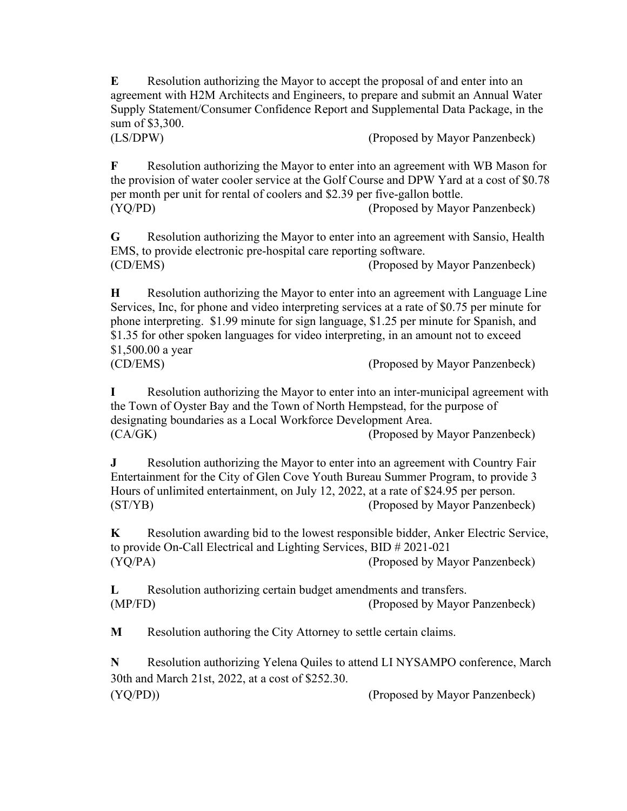**E** Resolution authorizing the Mayor to accept the proposal of and enter into an agreement with H2M Architects and Engineers, to prepare and submit an Annual Water Supply Statement/Consumer Confidence Report and Supplemental Data Package, in the sum of \$3,300.

(LS/DPW) (Proposed by Mayor Panzenbeck)

**F** Resolution authorizing the Mayor to enter into an agreement with WB Mason for the provision of water cooler service at the Golf Course and DPW Yard at a cost of \$0.78 per month per unit for rental of coolers and \$2.39 per five-gallon bottle. (YQ/PD) (Proposed by Mayor Panzenbeck)

**G** Resolution authorizing the Mayor to enter into an agreement with Sansio, Health EMS, to provide electronic pre-hospital care reporting software. (CD/EMS) (Proposed by Mayor Panzenbeck)

**H** Resolution authorizing the Mayor to enter into an agreement with Language Line Services, Inc, for phone and video interpreting services at a rate of \$0.75 per minute for phone interpreting. \$1.99 minute for sign language, \$1.25 per minute for Spanish, and \$1.35 for other spoken languages for video interpreting, in an amount not to exceed \$1,500.00 a year (CD/EMS) (Proposed by Mayor Panzenbeck)

**I** Resolution authorizing the Mayor to enter into an inter-municipal agreement with the Town of Oyster Bay and the Town of North Hempstead, for the purpose of designating boundaries as a Local Workforce Development Area. (CA/GK) (Proposed by Mayor Panzenbeck)

**J** Resolution authorizing the Mayor to enter into an agreement with Country Fair Entertainment for the City of Glen Cove Youth Bureau Summer Program, to provide 3 Hours of unlimited entertainment, on July 12, 2022, at a rate of \$24.95 per person.<br>(ST/YB) (Proposed by Mayor Panzenbe (Proposed by Mayor Panzenbeck)

**K** Resolution awarding bid to the lowest responsible bidder, Anker Electric Service, to provide On-Call Electrical and Lighting Services, BID # 2021-021 (YQ/PA) (Proposed by Mayor Panzenbeck)

**L** Resolution authorizing certain budget amendments and transfers. (MP/FD) (Proposed by Mayor Panzenbeck)

**M** Resolution authoring the City Attorney to settle certain claims.

**N** Resolution authorizing Yelena Quiles to attend LI NYSAMPO conference, March 30th and March 21st, 2022, at a cost of \$252.30. (YQ/PD)) (Proposed by Mayor Panzenbeck)